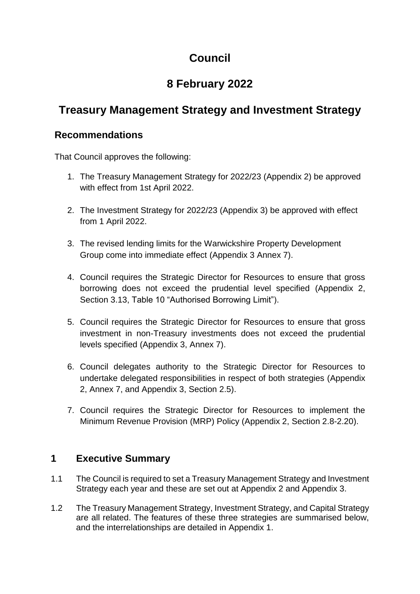# **Council**

# **8 February 2022**

## **Treasury Management Strategy and Investment Strategy**

### **Recommendations**

That Council approves the following:

- 1. The Treasury Management Strategy for 2022/23 (Appendix 2) be approved with effect from 1st April 2022.
- 2. The Investment Strategy for 2022/23 (Appendix 3) be approved with effect from 1 April 2022.
- 3. The revised lending limits for the Warwickshire Property Development Group come into immediate effect (Appendix 3 Annex 7).
- 4. Council requires the Strategic Director for Resources to ensure that gross borrowing does not exceed the prudential level specified (Appendix 2, Section 3.13, Table 10 "Authorised Borrowing Limit").
- 5. Council requires the Strategic Director for Resources to ensure that gross investment in non-Treasury investments does not exceed the prudential levels specified (Appendix 3, Annex 7).
- 6. Council delegates authority to the Strategic Director for Resources to undertake delegated responsibilities in respect of both strategies (Appendix 2, Annex 7, and Appendix 3, Section 2.5).
- 7. Council requires the Strategic Director for Resources to implement the Minimum Revenue Provision (MRP) Policy (Appendix 2, Section 2.8-2.20).

### **1 Executive Summary**

- 1.1 The Council is required to set a Treasury Management Strategy and Investment Strategy each year and these are set out at Appendix 2 and Appendix 3.
- 1.2 The Treasury Management Strategy, Investment Strategy, and Capital Strategy are all related. The features of these three strategies are summarised below, and the interrelationships are detailed in Appendix 1.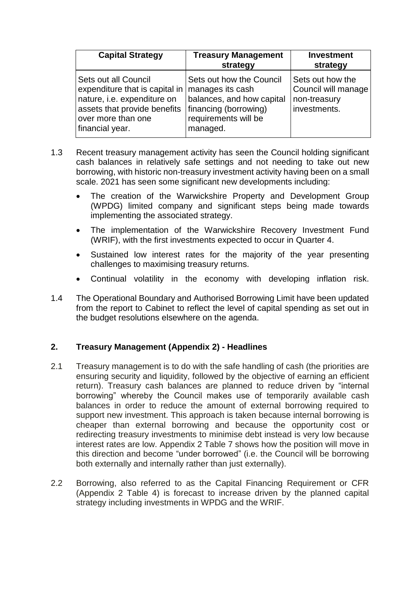| <b>Capital Strategy</b>                                                                                                                                            | <b>Treasury Management</b><br>strategy                                                                                                 | <b>Investment</b><br>strategy                                           |
|--------------------------------------------------------------------------------------------------------------------------------------------------------------------|----------------------------------------------------------------------------------------------------------------------------------------|-------------------------------------------------------------------------|
| Sets out all Council<br>expenditure that is capital in $ $<br>nature, i.e. expenditure on<br>assets that provide benefits<br>over more than one<br>financial year. | Sets out how the Council<br>manages its cash<br>balances, and how capital<br>financing (borrowing)<br>requirements will be<br>managed. | Sets out how the<br>Council will manage<br>non-treasury<br>investments. |

- 1.3 Recent treasury management activity has seen the Council holding significant cash balances in relatively safe settings and not needing to take out new borrowing, with historic non-treasury investment activity having been on a small scale. 2021 has seen some significant new developments including:
	- The creation of the Warwickshire Property and Development Group (WPDG) limited company and significant steps being made towards implementing the associated strategy.
	- The implementation of the Warwickshire Recovery Investment Fund (WRIF), with the first investments expected to occur in Quarter 4.
	- Sustained low interest rates for the majority of the year presenting challenges to maximising treasury returns.
	- Continual volatility in the economy with developing inflation risk.
- 1.4 The Operational Boundary and Authorised Borrowing Limit have been updated from the report to Cabinet to reflect the level of capital spending as set out in the budget resolutions elsewhere on the agenda.

#### **2. Treasury Management (Appendix 2) - Headlines**

- 2.1 Treasury management is to do with the safe handling of cash (the priorities are ensuring security and liquidity, followed by the objective of earning an efficient return). Treasury cash balances are planned to reduce driven by "internal borrowing" whereby the Council makes use of temporarily available cash balances in order to reduce the amount of external borrowing required to support new investment. This approach is taken because internal borrowing is cheaper than external borrowing and because the opportunity cost or redirecting treasury investments to minimise debt instead is very low because interest rates are low. Appendix 2 Table 7 shows how the position will move in this direction and become "under borrowed" (i.e. the Council will be borrowing both externally and internally rather than just externally).
- 2.2 Borrowing, also referred to as the Capital Financing Requirement or CFR (Appendix 2 Table 4) is forecast to increase driven by the planned capital strategy including investments in WPDG and the WRIF.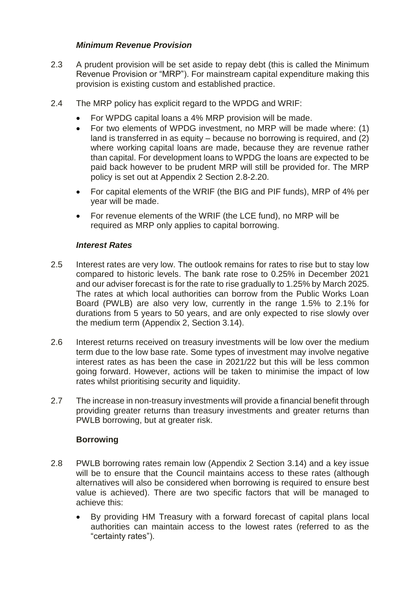#### *Minimum Revenue Provision*

- 2.3 A prudent provision will be set aside to repay debt (this is called the Minimum Revenue Provision or "MRP"). For mainstream capital expenditure making this provision is existing custom and established practice.
- 2.4 The MRP policy has explicit regard to the WPDG and WRIF:
	- For WPDG capital loans a 4% MRP provision will be made.
	- For two elements of WPDG investment, no MRP will be made where: (1) land is transferred in as equity – because no borrowing is required, and (2) where working capital loans are made, because they are revenue rather than capital. For development loans to WPDG the loans are expected to be paid back however to be prudent MRP will still be provided for. The MRP policy is set out at Appendix 2 Section 2.8-2.20.
	- For capital elements of the WRIF (the BIG and PIF funds), MRP of 4% per year will be made.
	- For revenue elements of the WRIF (the LCE fund), no MRP will be required as MRP only applies to capital borrowing.

#### *Interest Rates*

- 2.5 Interest rates are very low. The outlook remains for rates to rise but to stay low compared to historic levels. The bank rate rose to 0.25% in December 2021 and our adviser forecast is for the rate to rise gradually to 1.25% by March 2025. The rates at which local authorities can borrow from the Public Works Loan Board (PWLB) are also very low, currently in the range 1.5% to 2.1% for durations from 5 years to 50 years, and are only expected to rise slowly over the medium term (Appendix 2, Section 3.14).
- 2.6 Interest returns received on treasury investments will be low over the medium term due to the low base rate. Some types of investment may involve negative interest rates as has been the case in 2021/22 but this will be less common going forward. However, actions will be taken to minimise the impact of low rates whilst prioritising security and liquidity.
- 2.7 The increase in non-treasury investments will provide a financial benefit through providing greater returns than treasury investments and greater returns than PWLB borrowing, but at greater risk.

#### **Borrowing**

- 2.8 PWLB borrowing rates remain low (Appendix 2 Section 3.14) and a key issue will be to ensure that the Council maintains access to these rates (although alternatives will also be considered when borrowing is required to ensure best value is achieved). There are two specific factors that will be managed to achieve this:
	- By providing HM Treasury with a forward forecast of capital plans local authorities can maintain access to the lowest rates (referred to as the "certainty rates").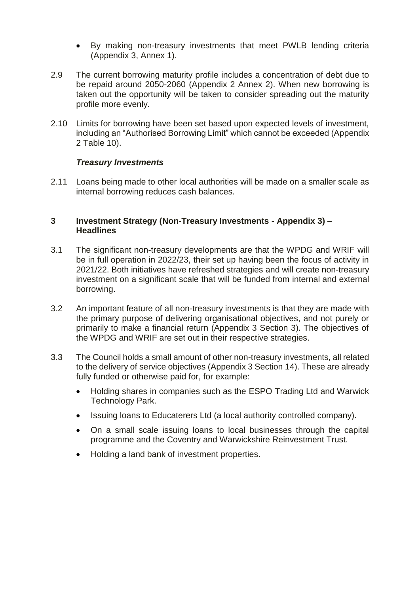- By making non-treasury investments that meet PWLB lending criteria (Appendix 3, Annex 1).
- 2.9 The current borrowing maturity profile includes a concentration of debt due to be repaid around 2050-2060 (Appendix 2 Annex 2). When new borrowing is taken out the opportunity will be taken to consider spreading out the maturity profile more evenly.
- 2.10 Limits for borrowing have been set based upon expected levels of investment, including an "Authorised Borrowing Limit" which cannot be exceeded (Appendix 2 Table 10).

#### *Treasury Investments*

2.11 Loans being made to other local authorities will be made on a smaller scale as internal borrowing reduces cash balances.

#### **3 Investment Strategy (Non-Treasury Investments - Appendix 3) – Headlines**

- 3.1 The significant non-treasury developments are that the WPDG and WRIF will be in full operation in 2022/23, their set up having been the focus of activity in 2021/22. Both initiatives have refreshed strategies and will create non-treasury investment on a significant scale that will be funded from internal and external borrowing.
- 3.2 An important feature of all non-treasury investments is that they are made with the primary purpose of delivering organisational objectives, and not purely or primarily to make a financial return (Appendix 3 Section 3). The objectives of the WPDG and WRIF are set out in their respective strategies.
- 3.3 The Council holds a small amount of other non-treasury investments, all related to the delivery of service objectives (Appendix 3 Section 14). These are already fully funded or otherwise paid for, for example:
	- Holding shares in companies such as the ESPO Trading Ltd and Warwick Technology Park.
	- Issuing loans to Educaterers Ltd (a local authority controlled company).
	- On a small scale issuing loans to local businesses through the capital programme and the Coventry and Warwickshire Reinvestment Trust.
	- Holding a land bank of investment properties.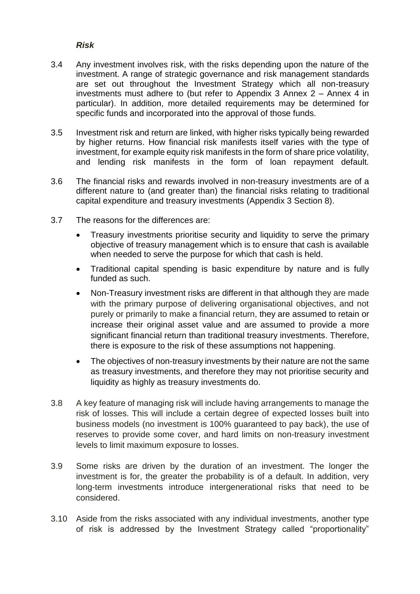#### *Risk*

- 3.4 Any investment involves risk, with the risks depending upon the nature of the investment. A range of strategic governance and risk management standards are set out throughout the Investment Strategy which all non-treasury investments must adhere to (but refer to Appendix 3 Annex 2 – Annex 4 in particular). In addition, more detailed requirements may be determined for specific funds and incorporated into the approval of those funds.
- 3.5 Investment risk and return are linked, with higher risks typically being rewarded by higher returns. How financial risk manifests itself varies with the type of investment, for example equity risk manifests in the form of share price volatility, and lending risk manifests in the form of loan repayment default.
- 3.6 The financial risks and rewards involved in non-treasury investments are of a different nature to (and greater than) the financial risks relating to traditional capital expenditure and treasury investments (Appendix 3 Section 8).
- 3.7 The reasons for the differences are:
	- Treasury investments prioritise security and liquidity to serve the primary objective of treasury management which is to ensure that cash is available when needed to serve the purpose for which that cash is held.
	- Traditional capital spending is basic expenditure by nature and is fully funded as such.
	- Non-Treasury investment risks are different in that although they are made with the primary purpose of delivering organisational objectives, and not purely or primarily to make a financial return, they are assumed to retain or increase their original asset value and are assumed to provide a more significant financial return than traditional treasury investments. Therefore, there is exposure to the risk of these assumptions not happening.
	- The objectives of non-treasury investments by their nature are not the same as treasury investments, and therefore they may not prioritise security and liquidity as highly as treasury investments do.
- 3.8 A key feature of managing risk will include having arrangements to manage the risk of losses. This will include a certain degree of expected losses built into business models (no investment is 100% guaranteed to pay back), the use of reserves to provide some cover, and hard limits on non-treasury investment levels to limit maximum exposure to losses.
- 3.9 Some risks are driven by the duration of an investment. The longer the investment is for, the greater the probability is of a default. In addition, very long-term investments introduce intergenerational risks that need to be considered.
- 3.10 Aside from the risks associated with any individual investments, another type of risk is addressed by the Investment Strategy called "proportionality"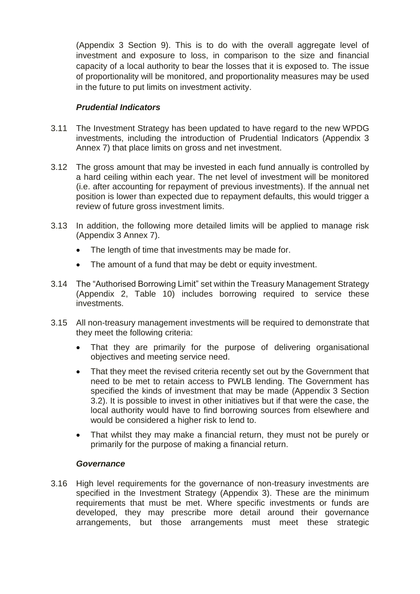(Appendix 3 Section 9). This is to do with the overall aggregate level of investment and exposure to loss, in comparison to the size and financial capacity of a local authority to bear the losses that it is exposed to. The issue of proportionality will be monitored, and proportionality measures may be used in the future to put limits on investment activity.

#### *Prudential Indicators*

- 3.11 The Investment Strategy has been updated to have regard to the new WPDG investments, including the introduction of Prudential Indicators (Appendix 3 Annex 7) that place limits on gross and net investment.
- 3.12 The gross amount that may be invested in each fund annually is controlled by a hard ceiling within each year. The net level of investment will be monitored (i.e. after accounting for repayment of previous investments). If the annual net position is lower than expected due to repayment defaults, this would trigger a review of future gross investment limits.
- 3.13 In addition, the following more detailed limits will be applied to manage risk (Appendix 3 Annex 7).
	- The length of time that investments may be made for.
	- The amount of a fund that may be debt or equity investment.
- 3.14 The "Authorised Borrowing Limit" set within the Treasury Management Strategy (Appendix 2, Table 10) includes borrowing required to service these investments.
- 3.15 All non-treasury management investments will be required to demonstrate that they meet the following criteria:
	- That they are primarily for the purpose of delivering organisational objectives and meeting service need.
	- That they meet the revised criteria recently set out by the Government that need to be met to retain access to PWLB lending. The Government has specified the kinds of investment that may be made (Appendix 3 Section 3.2). It is possible to invest in other initiatives but if that were the case, the local authority would have to find borrowing sources from elsewhere and would be considered a higher risk to lend to.
	- That whilst they may make a financial return, they must not be purely or primarily for the purpose of making a financial return.

#### *Governance*

3.16 High level requirements for the governance of non-treasury investments are specified in the Investment Strategy (Appendix 3). These are the minimum requirements that must be met. Where specific investments or funds are developed, they may prescribe more detail around their governance arrangements, but those arrangements must meet these strategic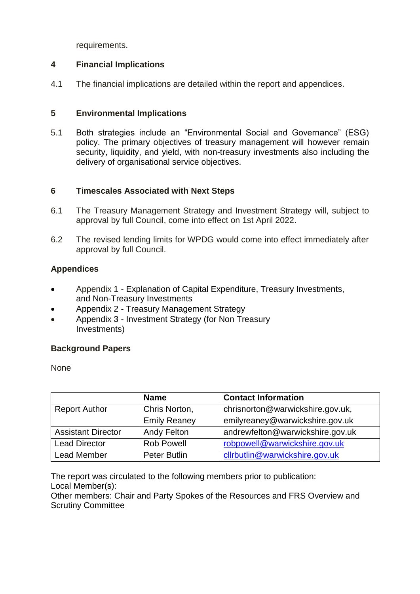requirements.

#### **4 Financial Implications**

4.1 The financial implications are detailed within the report and appendices.

#### **5 Environmental Implications**

5.1 Both strategies include an "Environmental Social and Governance" (ESG) policy. The primary objectives of treasury management will however remain security, liquidity, and yield, with non-treasury investments also including the delivery of organisational service objectives.

#### **6 Timescales Associated with Next Steps**

- 6.1 The Treasury Management Strategy and Investment Strategy will, subject to approval by full Council, come into effect on 1st April 2022.
- 6.2 The revised lending limits for WPDG would come into effect immediately after approval by full Council.

#### **Appendices**

- Appendix 1 Explanation of Capital Expenditure, Treasury Investments, and Non-Treasury Investments
- Appendix 2 Treasury Management Strategy
- Appendix 3 Investment Strategy (for Non Treasury Investments)

#### **Background Papers**

None

|                           | <b>Name</b>         | <b>Contact Information</b>       |
|---------------------------|---------------------|----------------------------------|
| <b>Report Author</b>      | Chris Norton,       | chrisnorton@warwickshire.gov.uk, |
|                           | <b>Emily Reaney</b> | emilyreaney@warwickshire.gov.uk  |
| <b>Assistant Director</b> | <b>Andy Felton</b>  | andrewfelton@warwickshire.gov.uk |
| <b>Lead Director</b>      | <b>Rob Powell</b>   | robpowell@warwickshire.gov.uk    |
| <b>Lead Member</b>        | <b>Peter Butlin</b> | cllrbutlin@warwickshire.gov.uk   |

The report was circulated to the following members prior to publication: Local Member(s):

Other members: Chair and Party Spokes of the Resources and FRS Overview and Scrutiny Committee